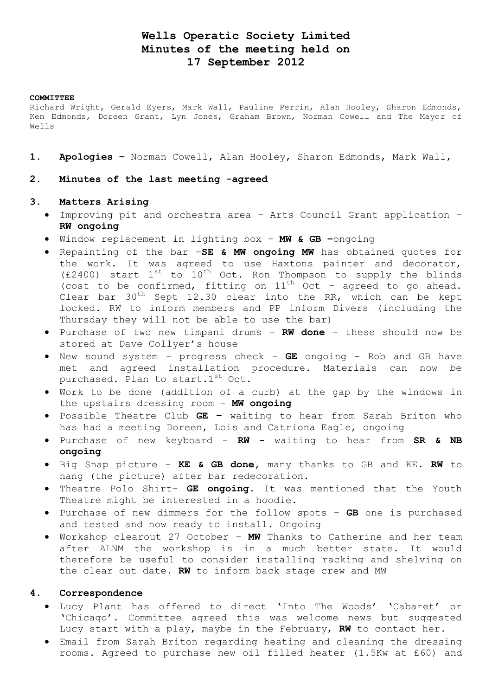# **Wells Operatic Society Limited Minutes of the meeting held on 17 September 2012**

#### **COMMITTEE**

Richard Wright, Gerald Eyers, Mark Wall, Pauline Perrin, Alan Hooley, Sharon Edmonds, Ken Edmonds, Doreen Grant, Lyn Jones, Graham Brown, Norman Cowell and The Mayor of Wells

- **1. Apologies –** Norman Cowell, Alan Hooley, Sharon Edmonds, Mark Wall,
- **2. Minutes of the last meeting -agreed**

### **3. Matters Arising**

- Improving pit and orchestra area Arts Council Grant application **RW ongoing**
- Window replacement in lighting box **MW & GB –**ongoing
- Repainting of the bar –**SE & MW ongoing MW** has obtained quotes for the work. It was agreed to use Haxtons painter and decorator, (£2400) start  $1^{st}$  to  $10^{th}$  Oct. Ron Thompson to supply the blinds (cost to be confirmed, fitting on  $11<sup>th</sup>$  Oct - agreed to go ahead. Clear bar  $30<sup>th</sup>$  Sept 12.30 clear into the RR, which can be kept locked. RW to inform members and PP inform Divers (including the Thursday they will not be able to use the bar)
- Purchase of two new timpani drums **RW done**  these should now be stored at Dave Collyer's house
- New sound system progress check **GE** ongoing Rob and GB have met and agreed installation procedure. Materials can now be purchased. Plan to start.1st Oct.
- Work to be done (addition of a curb) at the gap by the windows in the upstairs dressing room – **MW ongoing**
- Possible Theatre Club **GE –** waiting to hear from Sarah Briton who has had a meeting Doreen, Lois and Catriona Eagle, ongoing
- Purchase of new keyboard **RW -** waiting to hear from **SR & NB ongoing**
- Big Snap picture **KE & GB done,** many thanks to GB and KE. **RW** to hang (the picture) after bar redecoration.
- Theatre Polo Shirt– **GE ongoing.** It was mentioned that the Youth Theatre might be interested in a hoodie.
- Purchase of new dimmers for the follow spots **GB** one is purchased and tested and now ready to install. Ongoing
- Workshop clearout 27 October **MW** Thanks to Catherine and her team after ALNM the workshop is in a much better state. It would therefore be useful to consider installing racking and shelving on the clear out date. **RW** to inform back stage crew and MW

## **4. Correspondence**

- Lucy Plant has offered to direct 'Into The Woods' 'Cabaret' or 'Chicago'. Committee agreed this was welcome news but suggested Lucy start with a play, maybe in the February, **RW** to contact her.
- Email from Sarah Briton regarding heating and cleaning the dressing rooms. Agreed to purchase new oil filled heater (1.5Kw at £60) and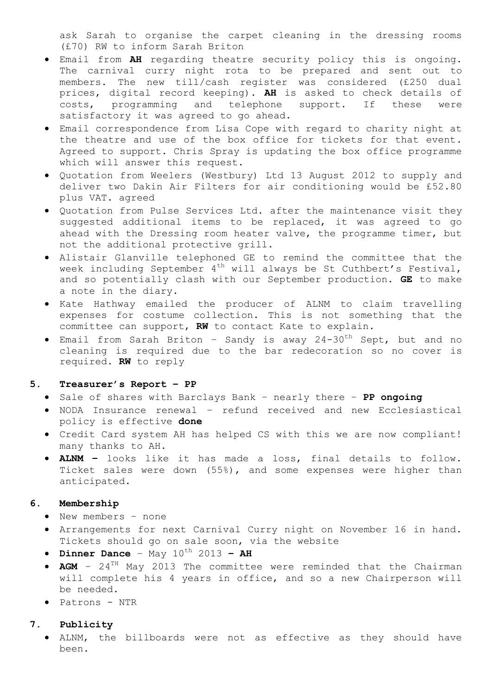ask Sarah to organise the carpet cleaning in the dressing rooms (£70) RW to inform Sarah Briton

- Email from **AH** regarding theatre security policy this is ongoing. The carnival curry night rota to be prepared and sent out to members. The new till/cash register was considered (£250 dual prices, digital record keeping). **AH** is asked to check details of costs, programming and telephone support. If these were satisfactory it was agreed to go ahead.
- Email correspondence from Lisa Cope with regard to charity night at the theatre and use of the box office for tickets for that event. Agreed to support. Chris Spray is updating the box office programme which will answer this request.
- Quotation from Weelers (Westbury) Ltd 13 August 2012 to supply and deliver two Dakin Air Filters for air conditioning would be £52.80 plus VAT. agreed
- Quotation from Pulse Services Ltd. after the maintenance visit they suggested additional items to be replaced, it was agreed to go ahead with the Dressing room heater valve, the programme timer, but not the additional protective grill.
- Alistair Glanville telephoned GE to remind the committee that the week including September  $4^{th}$  will always be St Cuthbert's Festival, and so potentially clash with our September production. **GE** to make a note in the diary.
- Kate Hathway emailed the producer of ALNM to claim travelling expenses for costume collection. This is not something that the committee can support, **RW** to contact Kate to explain.
- Email from Sarah Briton Sandy is away 24-30th Sept, but and no cleaning is required due to the bar redecoration so no cover is required. **RW** to reply

#### **5. Treasurer's Report – PP**

- Sale of shares with Barclays Bank nearly there **PP ongoing**
- NODA Insurance renewal refund received and new Ecclesiastical policy is effective **done**
- Credit Card system AH has helped CS with this we are now compliant! many thanks to AH.
- **ALNM –** looks like it has made a loss, final details to follow. Ticket sales were down (55%), and some expenses were higher than anticipated.

### **6. Membership**

- New members none
- Arrangements for next Carnival Curry night on November 16 in hand. Tickets should go on sale soon, via the website
- $\bullet$  **Dinner Dance** May  $10^{th}$  2013 AH
- AGM 24<sup>TH</sup> May 2013 The committee were reminded that the Chairman will complete his 4 years in office, and so a new Chairperson will be needed.
- Patrons NTR

## **7. Publicity**

 ALNM, the billboards were not as effective as they should have been.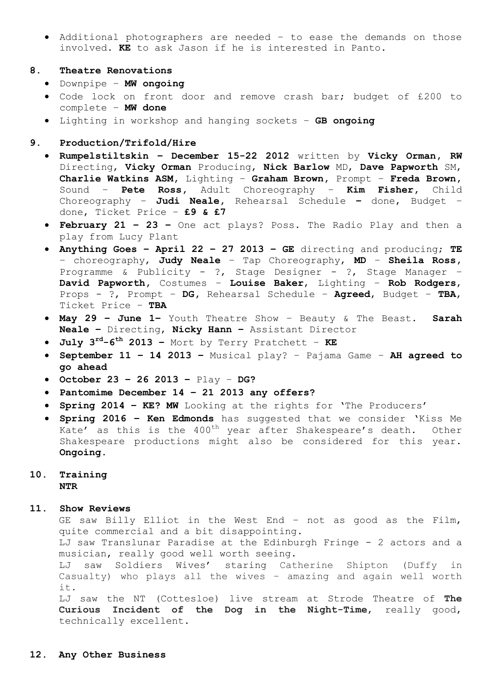- Additional photographers are needed to ease the demands on those involved. **KE** to ask Jason if he is interested in Panto.
- **8. Theatre Renovations**
	- Downpipe **MW ongoing**
	- Code lock on front door and remove crash bar; budget of £200 to complete – **MW done**
	- Lighting in workshop and hanging sockets **GB ongoing**
- **9. Production/Trifold/Hire** 
	- **Rumpelstiltskin – December 15-22 2012** written by **Vicky Orman, RW**  Directing, **Vicky Orman** Producing, **Nick Barlow** MD, **Dave Papworth** SM, **Charlie Watkins ASM,** Lighting – **Graham Brown,** Prompt – **Freda Brown,**  Sound – **Pete Ross,** Adult Choreography – **Kim Fisher,** Child Choreography – **Judi Neale,** Rehearsal Schedule **–** done, Budget – done, Ticket Price – **£9 & £7**
	- **February 21 – 23 –** One act plays? Poss. The Radio Play and then a play from Lucy Plant
	- **Anything Goes – April 22 – 27 2013 – GE** directing and producing; **TE** – choreography, **Judy Neale** – Tap Choreography, **MD** – **Sheila Ross,**  Programme & Publicity - ?, Stage Designer - ?, Stage Manager -**David Papworth,** Costumes – **Louise Baker**, Lighting – **Rob Rodgers**, Props - ?, Prompt – **DG,** Rehearsal Schedule – **Agreed**, Budget – **TBA**, Ticket Price – **TBA**
	- **May 29 – June 1–** Youth Theatre Show Beauty & The Beast. **Sarah Neale –** Directing, **Nicky Hann –** Assistant Director
	- **July 3 rd-6 th 2013 –** Mort by Terry Pratchett **KE**
	- **September 11 – 14 2013 –** Musical play? Pajama Game **AH agreed to go ahead**
	- **October 23 – 26 2013 –** Play **DG?**
	- **Pantomime December 14 – 21 2013 any offers?**
	- **Spring 2014 – KE? MW** Looking at the rights for 'The Producers'
	- **Spring 2016 – Ken Edmonds** has suggested that we consider 'Kiss Me Kate' as this is the  $400^{th}$  year after Shakespeare's death. Other Shakespeare productions might also be considered for this year. **Ongoing.**

### **10. Training NTR**

#### **11. Show Reviews**

GE saw Billy Elliot in the West End – not as good as the Film, quite commercial and a bit disappointing.

LJ saw Translunar Paradise at the Edinburgh Fringe - 2 actors and a musician, really good well worth seeing.

LJ saw Soldiers Wives' staring Catherine Shipton (Duffy in Casualty) who plays all the wives – amazing and again well worth it.

LJ saw the NT (Cottesloe) live stream at Strode Theatre of **The Curious Incident of the Dog in the Night-Time**, really good, technically excellent**.**